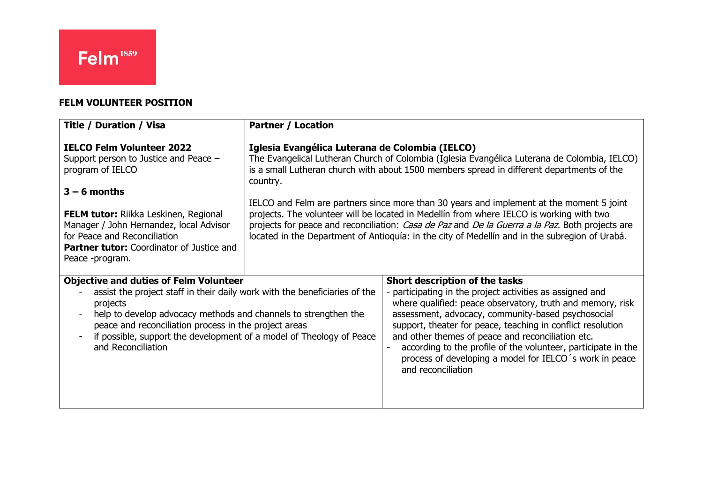### **FELM VOLUNTEER POSITION**

| <b>Title / Duration / Visa</b>                                                                                                                                                                                                                                                                                                                                                      | <b>Partner / Location</b>                                                                                                                                                                                                                                                                                                                                                                 |                                                                                                                                                                                                                                                                                                                                                                                                                                                                                       |
|-------------------------------------------------------------------------------------------------------------------------------------------------------------------------------------------------------------------------------------------------------------------------------------------------------------------------------------------------------------------------------------|-------------------------------------------------------------------------------------------------------------------------------------------------------------------------------------------------------------------------------------------------------------------------------------------------------------------------------------------------------------------------------------------|---------------------------------------------------------------------------------------------------------------------------------------------------------------------------------------------------------------------------------------------------------------------------------------------------------------------------------------------------------------------------------------------------------------------------------------------------------------------------------------|
| <b>IELCO Felm Volunteer 2022</b><br>Support person to Justice and Peace -<br>program of IELCO                                                                                                                                                                                                                                                                                       | Iglesia Evangélica Luterana de Colombia (IELCO)<br>The Evangelical Lutheran Church of Colombia (Iglesia Evangélica Luterana de Colombia, IELCO)<br>is a small Lutheran church with about 1500 members spread in different departments of the<br>country.                                                                                                                                  |                                                                                                                                                                                                                                                                                                                                                                                                                                                                                       |
| $3 - 6$ months<br><b>FELM tutor:</b> Riikka Leskinen, Regional<br>Manager / John Hernandez, local Advisor<br>for Peace and Reconciliation<br><b>Partner tutor:</b> Coordinator of Justice and<br>Peace -program.                                                                                                                                                                    | IELCO and Felm are partners since more than 30 years and implement at the moment 5 joint<br>projects. The volunteer will be located in Medellín from where IELCO is working with two<br>projects for peace and reconciliation: Casa de Paz and De la Guerra a la Paz. Both projects are<br>located in the Department of Antioquía: in the city of Medellín and in the subregion of Urabá. |                                                                                                                                                                                                                                                                                                                                                                                                                                                                                       |
| <b>Objective and duties of Felm Volunteer</b><br>assist the project staff in their daily work with the beneficiaries of the<br>projects<br>help to develop advocacy methods and channels to strengthen the<br>$\blacksquare$<br>peace and reconciliation process in the project areas<br>if possible, support the development of a model of Theology of Peace<br>and Reconciliation |                                                                                                                                                                                                                                                                                                                                                                                           | Short description of the tasks<br>- participating in the project activities as assigned and<br>where qualified: peace observatory, truth and memory, risk<br>assessment, advocacy, community-based psychosocial<br>support, theater for peace, teaching in conflict resolution<br>and other themes of peace and reconciliation etc.<br>according to the profile of the volunteer, participate in the<br>process of developing a model for IELCO's work in peace<br>and reconciliation |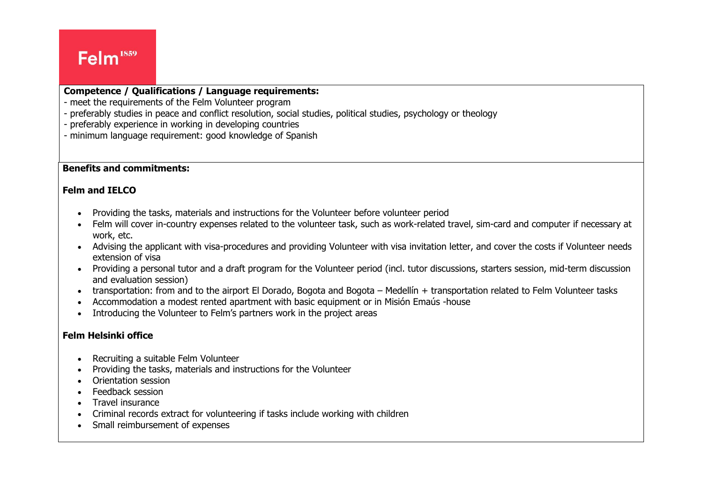# Felm<sup>1859</sup>

### **Competence / Qualifications / Language requirements:**

- meet the requirements of the Felm Volunteer program
- preferably studies in peace and conflict resolution, social studies, political studies, psychology or theology
- preferably experience in working in developing countries
- minimum language requirement: good knowledge of Spanish

#### **Benefits and commitments:**

### **Felm and IELCO**

- Providing the tasks, materials and instructions for the Volunteer before volunteer period
- Felm will cover in-country expenses related to the volunteer task, such as work-related travel, sim-card and computer if necessary at work, etc.
- Advising the applicant with visa-procedures and providing Volunteer with visa invitation letter, and cover the costs if Volunteer needs extension of visa
- Providing a personal tutor and a draft program for the Volunteer period (incl. tutor discussions, starters session, mid-term discussion and evaluation session)
- transportation: from and to the airport El Dorado, Bogota and Bogota Medellín + transportation related to Felm Volunteer tasks
- Accommodation a modest rented apartment with basic equipment or in Misión Emaús -house
- Introducing the Volunteer to Felm's partners work in the project areas

### **Felm Helsinki office**

- Recruiting a suitable Felm Volunteer
- Providing the tasks, materials and instructions for the Volunteer
- Orientation session
- Feedback session
- Travel insurance
- Criminal records extract for volunteering if tasks include working with children
- Small reimbursement of expenses